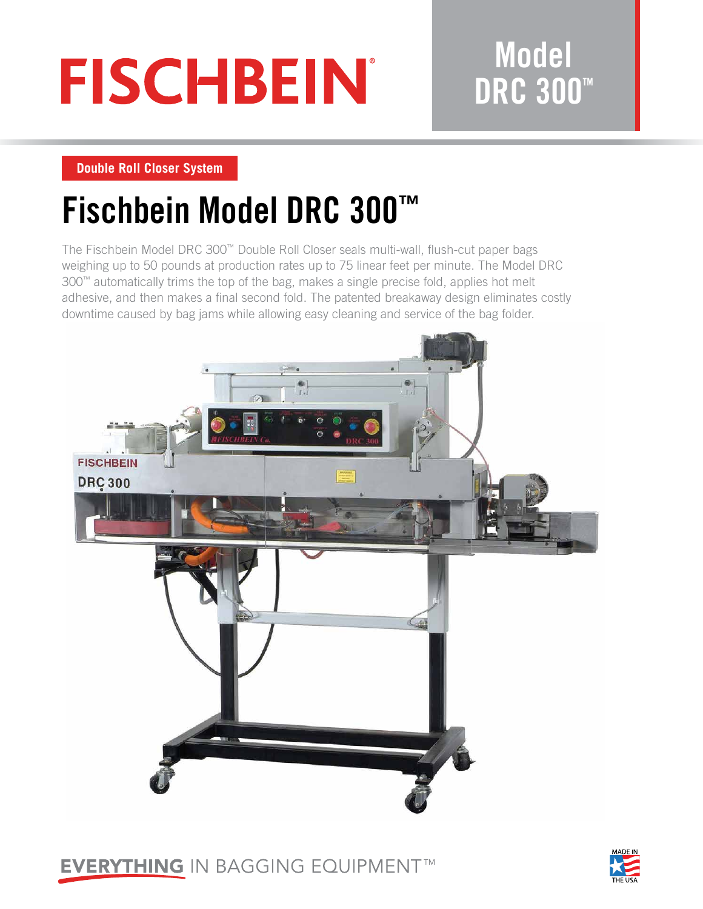# **FISCHBEIN**

## **Model DRC 300™**

**Double Roll Closer System**

# **Fischbein Model DRC 300™**

The Fischbein Model DRC 300™ Double Roll Closer seals multi-wall, flush-cut paper bags weighing up to 50 pounds at production rates up to 75 linear feet per minute. The Model DRC 300™ automatically trims the top of the bag, makes a single precise fold, applies hot melt adhesive, and then makes a final second fold. The patented breakaway design eliminates costly downtime caused by bag jams while allowing easy cleaning and service of the bag folder.